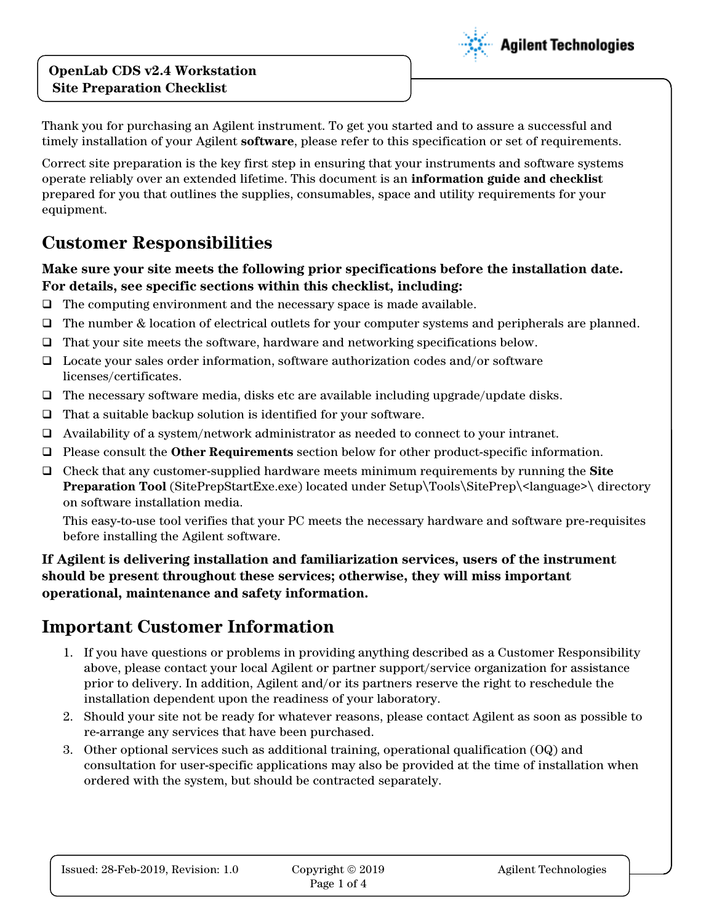#### **OpenLab CDS v2.4 Workstation Site Preparation Checklist**



Thank you for purchasing an Agilent instrument. To get you started and to assure a successful and timely installation of your Agilent **software**, please refer to this specification or set of requirements.

Correct site preparation is the key first step in ensuring that your instruments and software systems operate reliably over an extended lifetime. This document is an **information guide and checklist** prepared for you that outlines the supplies, consumables, space and utility requirements for your equipment.

## **Customer Responsibilities**

#### **Make sure your site meets the following prior specifications before the installation date. For details, see specific sections within this checklist, including:**

- ❑ The computing environment and the necessary space is made available.
- ❑ The number & location of electrical outlets for your computer systems and peripherals are planned.
- ❑ That your site meets the software, hardware and networking specifications below.
- ❑ Locate your sales order information, software authorization codes and/or software licenses/certificates.
- ❑ The necessary software media, disks etc are available including upgrade/update disks.
- ❑ That a suitable backup solution is identified for your software.
- ❑ Availability of a system/network administrator as needed to connect to your intranet.
- ❑ Please consult the **Other Requirements** section below for other product-specific information.
- ❑ Check that any customer-supplied hardware meets minimum requirements by running the **Site Preparation Tool** (SitePrepStartExe.exe) located under Setup\Tools\SitePrep\<language>\ directory on software installation media.

This easy-to-use tool verifies that your PC meets the necessary hardware and software pre-requisites before installing the Agilent software.

**If Agilent is delivering installation and familiarization services, users of the instrument should be present throughout these services; otherwise, they will miss important operational, maintenance and safety information.**

# **Important Customer Information**

- 1. If you have questions or problems in providing anything described as a Customer Responsibility above, please contact your local Agilent or partner support/service organization for assistance prior to delivery. In addition, Agilent and/or its partners reserve the right to reschedule the installation dependent upon the readiness of your laboratory.
- 2. Should your site not be ready for whatever reasons, please contact Agilent as soon as possible to re-arrange any services that have been purchased.
- 3. Other optional services such as additional training, operational qualification (OQ) and consultation for user-specific applications may also be provided at the time of installation when ordered with the system, but should be contracted separately.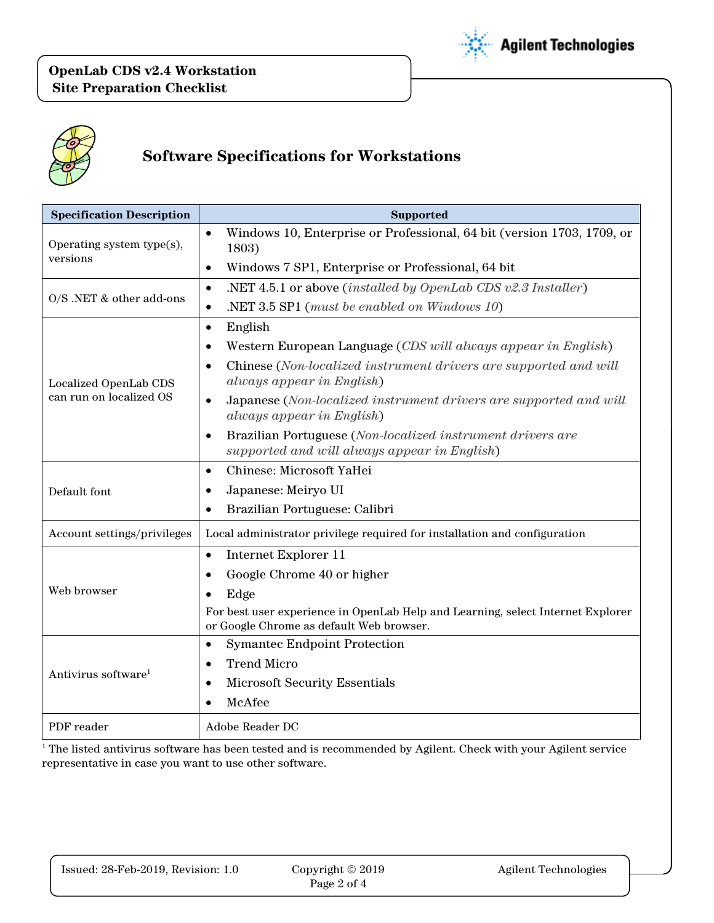



# **Software Specifications for Workstations**

| <b>Specification Description</b>                 | <b>Supported</b>                                                                                                            |  |
|--------------------------------------------------|-----------------------------------------------------------------------------------------------------------------------------|--|
| Operating system type(s),<br>versions            | Windows 10, Enterprise or Professional, 64 bit (version 1703, 1709, or<br>$\bullet$                                         |  |
|                                                  | 1803)                                                                                                                       |  |
|                                                  | Windows 7 SP1, Enterprise or Professional, 64 bit<br>$\bullet$                                                              |  |
| O/S .NET & other add-ons                         | .NET 4.5.1 or above <i>(installed by OpenLab CDS v2.3 Installer)</i><br>$\bullet$                                           |  |
|                                                  | .NET $3.5$ SP1 (must be enabled on Windows 10).<br>$\bullet$                                                                |  |
| Localized OpenLab CDS<br>can run on localized OS | English<br>$\bullet$                                                                                                        |  |
|                                                  | Western European Language (CDS will always appear in English)                                                               |  |
|                                                  | Chinese (Non-localized instrument drivers are supported and will<br>$\bullet$<br>always appear in English)                  |  |
|                                                  | Japanese (Non-localized instrument drivers are supported and will<br>$\bullet$<br>always appear in English)                 |  |
|                                                  | Brazilian Portuguese (Non-localized instrument drivers are<br>$\bullet$<br>supported and will always appear in English)     |  |
| Default font                                     | Chinese: Microsoft YaHei<br>$\bullet$                                                                                       |  |
|                                                  | Japanese: Meiryo UI                                                                                                         |  |
|                                                  | Brazilian Portuguese: Calibri<br>$\bullet$                                                                                  |  |
| Account settings/privileges                      | Local administrator privilege required for installation and configuration                                                   |  |
| Web browser                                      | Internet Explorer 11<br>$\bullet$                                                                                           |  |
|                                                  | Google Chrome 40 or higher<br>$\bullet$                                                                                     |  |
|                                                  | Edge                                                                                                                        |  |
|                                                  | For best user experience in OpenLab Help and Learning, select Internet Explorer<br>or Google Chrome as default Web browser. |  |
| Antivirus software <sup>1</sup>                  | <b>Symantec Endpoint Protection</b>                                                                                         |  |
|                                                  | <b>Trend Micro</b><br>٠                                                                                                     |  |
|                                                  | <b>Microsoft Security Essentials</b><br>$\bullet$                                                                           |  |
|                                                  | McAfee                                                                                                                      |  |
| PDF reader                                       | Adobe Reader DC                                                                                                             |  |

<sup>1</sup> The listed antivirus software has been tested and is recommended by Agilent. Check with your Agilent service representative in case you want to use other software.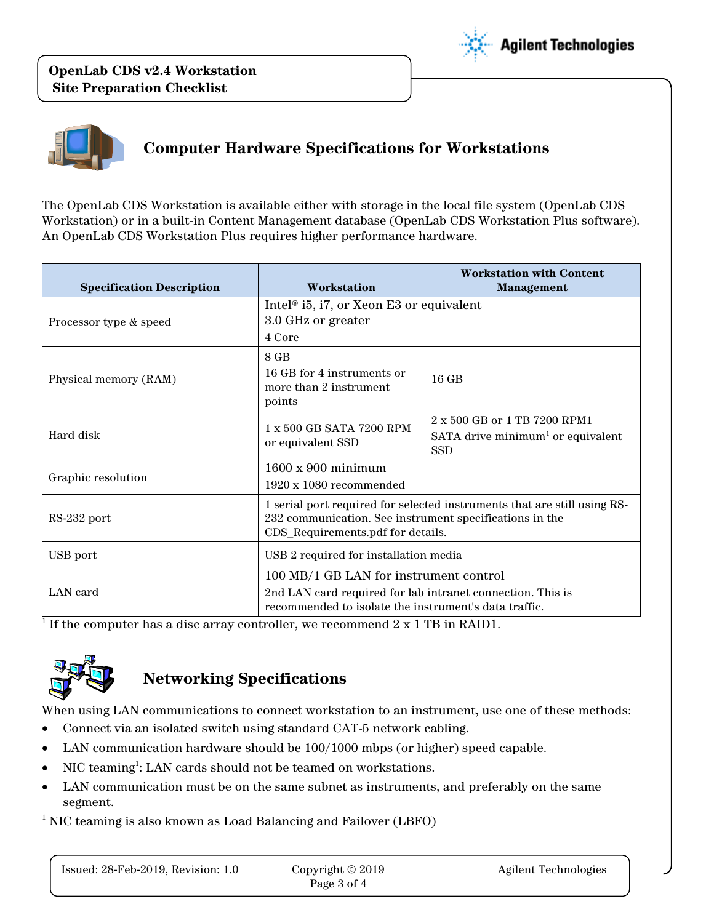**OpenLab CDS v2.4 Workstation Site Preparation Checklist**





# **Computer Hardware Specifications for Workstations**

The OpenLab CDS Workstation is available either with storage in the local file system (OpenLab CDS Workstation) or in a built-in Content Management database (OpenLab CDS Workstation Plus software). An OpenLab CDS Workstation Plus requires higher performance hardware.

| <b>Specification Description</b> | Workstation                                                                                                                                                              | <b>Workstation with Content</b><br><b>Management</b>                                               |
|----------------------------------|--------------------------------------------------------------------------------------------------------------------------------------------------------------------------|----------------------------------------------------------------------------------------------------|
| Processor type & speed           | Intel <sup>®</sup> i5, i7, or Xeon E3 or equivalent<br>3.0 GHz or greater<br>4 Core                                                                                      |                                                                                                    |
| Physical memory (RAM)            | 8 GB<br>16 GB for 4 instruments or<br>more than 2 instrument<br>points                                                                                                   | $16$ GB                                                                                            |
| Hard disk                        | $1 \times 500$ GB SATA 7200 RPM<br>or equivalent SSD                                                                                                                     | $2 \times 500$ GB or 1 TB 7200 RPM1<br>SATA drive minimum <sup>1</sup> or equivalent<br><b>SSD</b> |
| Graphic resolution               | $1600 \times 900$ minimum<br>$1920 \times 1080$ recommended                                                                                                              |                                                                                                    |
| RS-232 port                      | 1 serial port required for selected instruments that are still using RS-<br>232 communication. See instrument specifications in the<br>CDS_Requirements.pdf for details. |                                                                                                    |
| USB port                         | USB 2 required for installation media                                                                                                                                    |                                                                                                    |
| LAN card                         | 100 MB/1 GB LAN for instrument control<br>2nd LAN card required for lab intranet connection. This is<br>recommended to isolate the instrument's data traffic.            |                                                                                                    |

 $^1$  If the computer has a disc array controller, we recommend  $2 \ge 1$  TB in RAID1.



### **Networking Specifications**

When using LAN communications to connect workstation to an instrument, use one of these methods:

- Connect via an isolated switch using standard CAT-5 network cabling.
- LAN communication hardware should be 100/1000 mbps (or higher) speed capable.
- NIC teaming<sup>1</sup>: LAN cards should not be teamed on workstations.
- LAN communication must be on the same subnet as instruments, and preferably on the same segment.

<sup>1</sup> NIC teaming is also known as Load Balancing and Failover (LBFO)